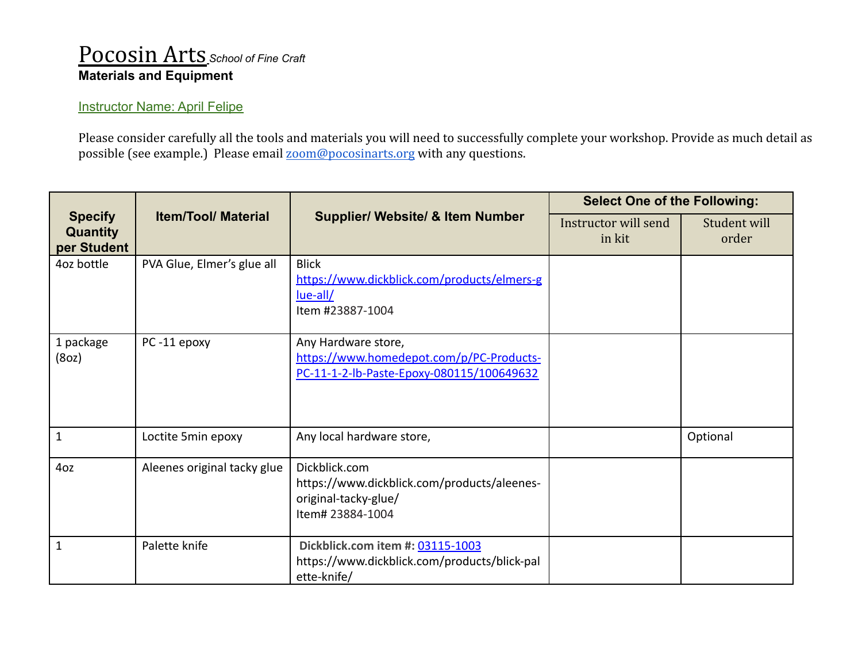## Pocosin Arts *School of Fine Craft* **Materials and Equipment**

## **Instructor Name: April Felipe**

Please consider carefully all the tools and materials you will need to successfully complete your workshop. Provide as much detail as possible (see example.) Please email [zoom@pocosinarts.org](mailto:zoom@pocosinarts.org) with any questions.

| <b>Specify</b><br><b>Quantity</b><br>per Student | <b>Item/Tool/ Material</b>  | <b>Supplier/ Website/ &amp; Item Number</b>                                                                  | <b>Select One of the Following:</b> |                       |
|--------------------------------------------------|-----------------------------|--------------------------------------------------------------------------------------------------------------|-------------------------------------|-----------------------|
|                                                  |                             |                                                                                                              | Instructor will send<br>in kit      | Student will<br>order |
| 4oz bottle                                       | PVA Glue, Elmer's glue all  | <b>Blick</b><br>https://www.dickblick.com/products/elmers-g<br>$\frac{$<br>Item #23887-1004                  |                                     |                       |
| 1 package<br>(8 <sub>O</sub> )                   | PC-11 epoxy                 | Any Hardware store,<br>https://www.homedepot.com/p/PC-Products-<br>PC-11-1-2-lb-Paste-Epoxy-080115/100649632 |                                     |                       |
| $\mathbf{1}$                                     | Loctite 5min epoxy          | Any local hardware store,                                                                                    |                                     | Optional              |
| 4oz                                              | Aleenes original tacky glue | Dickblick.com<br>https://www.dickblick.com/products/aleenes-<br>original-tacky-glue/<br>Item# 23884-1004     |                                     |                       |
| $\mathbf{1}$                                     | Palette knife               | Dickblick.com item #: 03115-1003<br>https://www.dickblick.com/products/blick-pal<br>ette-knife/              |                                     |                       |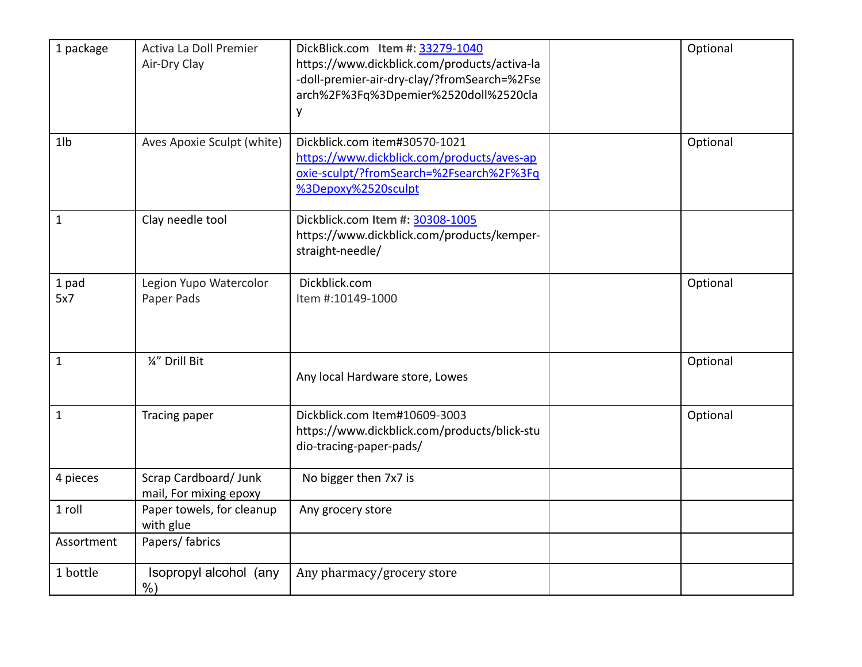| 1 package      | Activa La Doll Premier<br>Air-Dry Clay          | DickBlick.com Item #: 33279-1040<br>https://www.dickblick.com/products/activa-la<br>-doll-premier-air-dry-clay/?fromSearch=%2Fse<br>arch%2F%3Fq%3Dpemier%2520doll%2520cla<br>y | Optional |
|----------------|-------------------------------------------------|--------------------------------------------------------------------------------------------------------------------------------------------------------------------------------|----------|
| 1 <sub>1</sub> | Aves Apoxie Sculpt (white)                      | Dickblick.com item#30570-1021<br>https://www.dickblick.com/products/aves-ap<br>oxie-sculpt/?fromSearch=%2Fsearch%2F%3Fq<br>%3Depoxy%2520sculpt                                 | Optional |
| $\mathbf{1}$   | Clay needle tool                                | Dickblick.com Item #: 30308-1005<br>https://www.dickblick.com/products/kemper-<br>straight-needle/                                                                             |          |
| 1 pad<br>5x7   | Legion Yupo Watercolor<br>Paper Pads            | Dickblick.com<br>Item #:10149-1000                                                                                                                                             | Optional |
| $\mathbf{1}$   | 1/4" Drill Bit                                  | Any local Hardware store, Lowes                                                                                                                                                | Optional |
| $\mathbf{1}$   | Tracing paper                                   | Dickblick.com Item#10609-3003<br>https://www.dickblick.com/products/blick-stu<br>dio-tracing-paper-pads/                                                                       | Optional |
| 4 pieces       | Scrap Cardboard/ Junk<br>mail, For mixing epoxy | No bigger then 7x7 is                                                                                                                                                          |          |
| 1 roll         | Paper towels, for cleanup<br>with glue          | Any grocery store                                                                                                                                                              |          |
| Assortment     | Papers/ fabrics                                 |                                                                                                                                                                                |          |
| 1 bottle       | Isopropyl alcohol (any<br>$%$ )                 | Any pharmacy/grocery store                                                                                                                                                     |          |